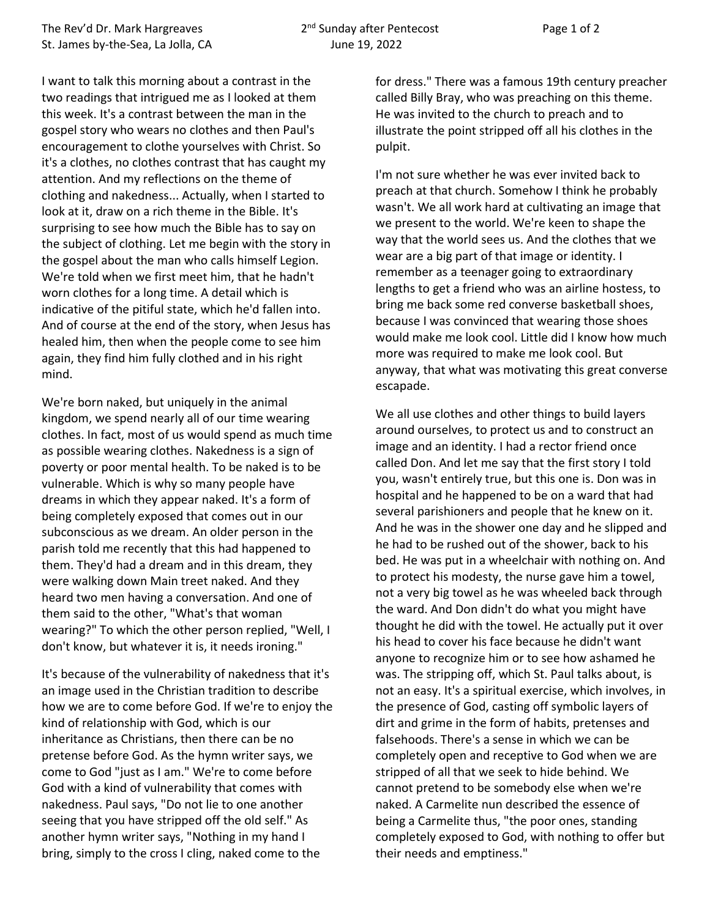I want to talk this morning about a contrast in the two readings that intrigued me as I looked at them this week. It's a contrast between the man in the gospel story who wears no clothes and then Paul's encouragement to clothe yourselves with Christ. So it's a clothes, no clothes contrast that has caught my attention. And my reflections on the theme of clothing and nakedness... Actually, when I started to look at it, draw on a rich theme in the Bible. It's surprising to see how much the Bible has to say on the subject of clothing. Let me begin with the story in the gospel about the man who calls himself Legion. We're told when we first meet him, that he hadn't worn clothes for a long time. A detail which is indicative of the pitiful state, which he'd fallen into. And of course at the end of the story, when Jesus has healed him, then when the people come to see him again, they find him fully clothed and in his right mind.

We're born naked, but uniquely in the animal kingdom, we spend nearly all of our time wearing clothes. In fact, most of us would spend as much time as possible wearing clothes. Nakedness is a sign of poverty or poor mental health. To be naked is to be vulnerable. Which is why so many people have dreams in which they appear naked. It's a form of being completely exposed that comes out in our subconscious as we dream. An older person in the parish told me recently that this had happened to them. They'd had a dream and in this dream, they were walking down Main treet naked. And they heard two men having a conversation. And one of them said to the other, "What's that woman wearing?" To which the other person replied, "Well, I don't know, but whatever it is, it needs ironing."

It's because of the vulnerability of nakedness that it's an image used in the Christian tradition to describe how we are to come before God. If we're to enjoy the kind of relationship with God, which is our inheritance as Christians, then there can be no pretense before God. As the hymn writer says, we come to God "just as I am." We're to come before God with a kind of vulnerability that comes with nakedness. Paul says, "Do not lie to one another seeing that you have stripped off the old self." As another hymn writer says, "Nothing in my hand I bring, simply to the cross I cling, naked come to the

for dress." There was a famous 19th century preacher called Billy Bray, who was preaching on this theme. He was invited to the church to preach and to illustrate the point stripped off all his clothes in the pulpit.

I'm not sure whether he was ever invited back to preach at that church. Somehow I think he probably wasn't. We all work hard at cultivating an image that we present to the world. We're keen to shape the way that the world sees us. And the clothes that we wear are a big part of that image or identity. I remember as a teenager going to extraordinary lengths to get a friend who was an airline hostess, to bring me back some red converse basketball shoes, because I was convinced that wearing those shoes would make me look cool. Little did I know how much more was required to make me look cool. But anyway, that what was motivating this great converse escapade.

We all use clothes and other things to build layers around ourselves, to protect us and to construct an image and an identity. I had a rector friend once called Don. And let me say that the first story I told you, wasn't entirely true, but this one is. Don was in hospital and he happened to be on a ward that had several parishioners and people that he knew on it. And he was in the shower one day and he slipped and he had to be rushed out of the shower, back to his bed. He was put in a wheelchair with nothing on. And to protect his modesty, the nurse gave him a towel, not a very big towel as he was wheeled back through the ward. And Don didn't do what you might have thought he did with the towel. He actually put it over his head to cover his face because he didn't want anyone to recognize him or to see how ashamed he was. The stripping off, which St. Paul talks about, is not an easy. It's a spiritual exercise, which involves, in the presence of God, casting off symbolic layers of dirt and grime in the form of habits, pretenses and falsehoods. There's a sense in which we can be completely open and receptive to God when we are stripped of all that we seek to hide behind. We cannot pretend to be somebody else when we're naked. A Carmelite nun described the essence of being a Carmelite thus, "the poor ones, standing completely exposed to God, with nothing to offer but their needs and emptiness."